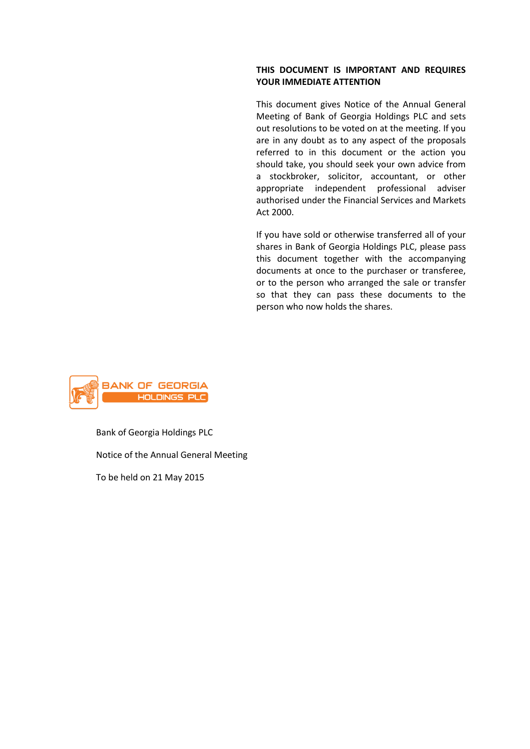## **THIS DOCUMENT IS IMPORTANT AND REQUIRES YOUR IMMEDIATE ATTENTION**

This document gives Notice of the Annual General Meeting of Bank of Georgia Holdings PLC and sets out resolutions to be voted on at the meeting. If you are in any doubt as to any aspect of the proposals referred to in this document or the action you should take, you should seek your own advice from a stockbroker, solicitor, accountant, or other appropriate independent professional adviser authorised under the Financial Services and Markets Act 2000.

If you have sold or otherwise transferred all of your shares in Bank of Georgia Holdings PLC, please pass this document together with the accompanying documents at once to the purchaser or transferee, or to the person who arranged the sale or transfer so that they can pass these documents to the person who now holds the shares.



Bank of Georgia Holdings PLC Notice of the Annual General Meeting To be held on 21 May 2015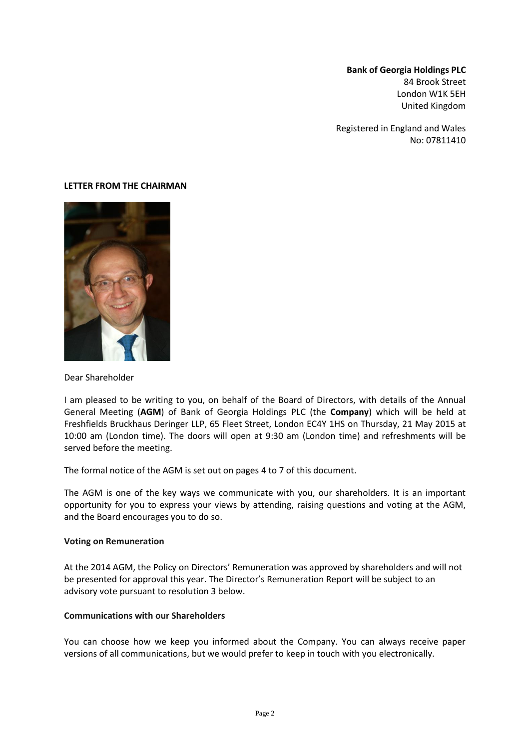## **Bank of Georgia Holdings PLC** 84 Brook Street London W1K 5EH United Kingdom

Registered in England and Wales No: 07811410

#### **LETTER FROM THE CHAIRMAN**



Dear Shareholder

I am pleased to be writing to you, on behalf of the Board of Directors, with details of the Annual General Meeting (**AGM**) of Bank of Georgia Holdings PLC (the **Company**) which will be held at Freshfields Bruckhaus Deringer LLP, 65 Fleet Street, London EC4Y 1HS on Thursday, 21 May 2015 at 10:00 am (London time). The doors will open at 9:30 am (London time) and refreshments will be served before the meeting.

The formal notice of the AGM is set out on pages 4 to 7 of this document.

The AGM is one of the key ways we communicate with you, our shareholders. It is an important opportunity for you to express your views by attending, raising questions and voting at the AGM, and the Board encourages you to do so.

#### **Voting on Remuneration**

At the 2014 AGM, the Policy on Directors' Remuneration was approved by shareholders and will not be presented for approval this year. The Director's Remuneration Report will be subject to an advisory vote pursuant to resolution 3 below.

#### **Communications with our Shareholders**

You can choose how we keep you informed about the Company. You can always receive paper versions of all communications, but we would prefer to keep in touch with you electronically.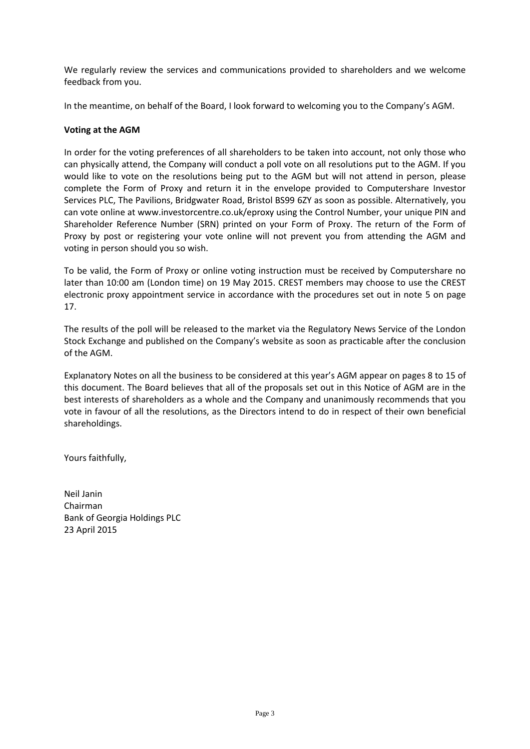We regularly review the services and communications provided to shareholders and we welcome feedback from you.

In the meantime, on behalf of the Board, I look forward to welcoming you to the Company's AGM.

### **Voting at the AGM**

In order for the voting preferences of all shareholders to be taken into account, not only those who can physically attend, the Company will conduct a poll vote on all resolutions put to the AGM. If you would like to vote on the resolutions being put to the AGM but will not attend in person, please complete the Form of Proxy and return it in the envelope provided to Computershare Investor Services PLC, The Pavilions, Bridgwater Road, Bristol BS99 6ZY as soon as possible. Alternatively, you can vote online at www.investorcentre.co.uk/eproxy using the Control Number, your unique PIN and Shareholder Reference Number (SRN) printed on your Form of Proxy. The return of the Form of Proxy by post or registering your vote online will not prevent you from attending the AGM and voting in person should you so wish.

To be valid, the Form of Proxy or online voting instruction must be received by Computershare no later than 10:00 am (London time) on 19 May 2015. CREST members may choose to use the CREST electronic proxy appointment service in accordance with the procedures set out in note 5 on page 17.

The results of the poll will be released to the market via the Regulatory News Service of the London Stock Exchange and published on the Company's website as soon as practicable after the conclusion of the AGM.

Explanatory Notes on all the business to be considered at this year's AGM appear on pages 8 to 15 of this document. The Board believes that all of the proposals set out in this Notice of AGM are in the best interests of shareholders as a whole and the Company and unanimously recommends that you vote in favour of all the resolutions, as the Directors intend to do in respect of their own beneficial shareholdings.

Yours faithfully,

Neil Janin Chairman Bank of Georgia Holdings PLC 23 April 2015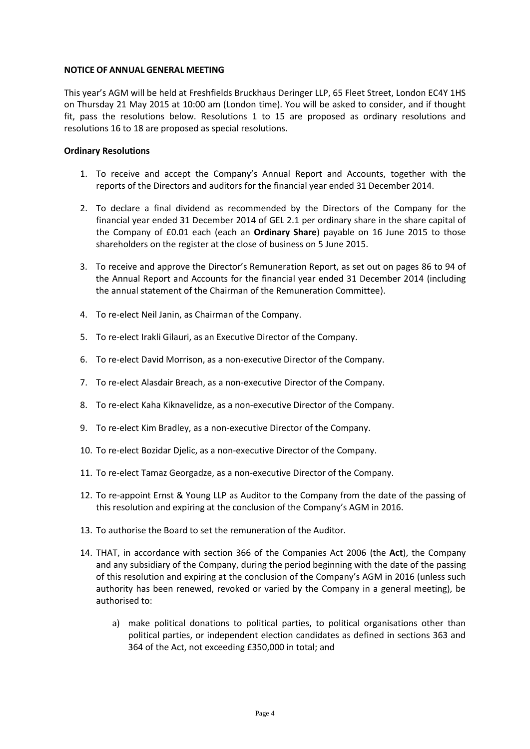#### **NOTICE OF ANNUAL GENERAL MEETING**

This year's AGM will be held at Freshfields Bruckhaus Deringer LLP, 65 Fleet Street, London EC4Y 1HS on Thursday 21 May 2015 at 10:00 am (London time). You will be asked to consider, and if thought fit, pass the resolutions below. Resolutions 1 to 15 are proposed as ordinary resolutions and resolutions 16 to 18 are proposed as special resolutions.

### **Ordinary Resolutions**

- 1. To receive and accept the Company's Annual Report and Accounts, together with the reports of the Directors and auditors for the financial year ended 31 December 2014.
- 2. To declare a final dividend as recommended by the Directors of the Company for the financial year ended 31 December 2014 of GEL 2.1 per ordinary share in the share capital of the Company of £0.01 each (each an **Ordinary Share**) payable on 16 June 2015 to those shareholders on the register at the close of business on 5 June 2015.
- 3. To receive and approve the Director's Remuneration Report, as set out on pages 86 to 94 of the Annual Report and Accounts for the financial year ended 31 December 2014 (including the annual statement of the Chairman of the Remuneration Committee).
- 4. To re-elect Neil Janin, as Chairman of the Company.
- 5. To re-elect Irakli Gilauri, as an Executive Director of the Company.
- 6. To re-elect David Morrison, as a non-executive Director of the Company.
- 7. To re-elect Alasdair Breach, as a non-executive Director of the Company.
- 8. To re-elect Kaha Kiknavelidze, as a non-executive Director of the Company.
- 9. To re-elect Kim Bradley, as a non-executive Director of the Company.
- 10. To re-elect Bozidar Djelic, as a non-executive Director of the Company.
- 11. To re-elect Tamaz Georgadze, as a non-executive Director of the Company.
- 12. To re-appoint Ernst & Young LLP as Auditor to the Company from the date of the passing of this resolution and expiring at the conclusion of the Company's AGM in 2016.
- 13. To authorise the Board to set the remuneration of the Auditor.
- 14. THAT, in accordance with section 366 of the Companies Act 2006 (the **Act**), the Company and any subsidiary of the Company, during the period beginning with the date of the passing of this resolution and expiring at the conclusion of the Company's AGM in 2016 (unless such authority has been renewed, revoked or varied by the Company in a general meeting), be authorised to:
	- a) make political donations to political parties, to political organisations other than political parties, or independent election candidates as defined in sections 363 and 364 of the Act, not exceeding £350,000 in total; and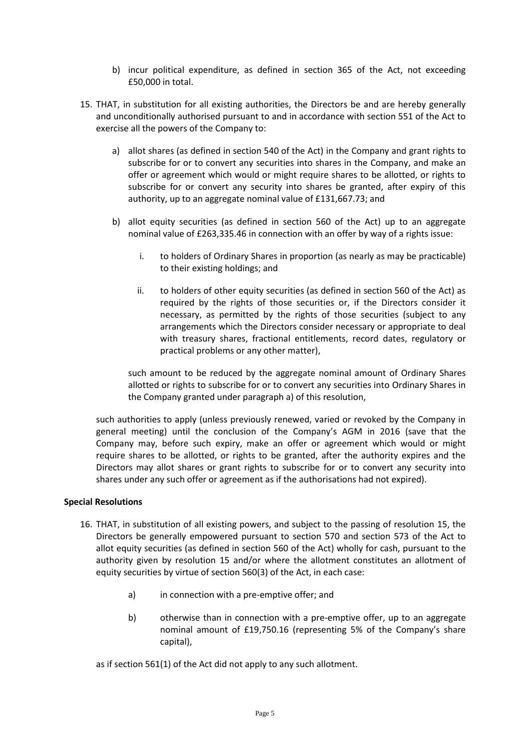- b) incur political expenditure, as defined in section 365 of the Act, not exceeding £50,000 in total.
- 15. THAT, in substitution for all existing authorities, the Directors be and are hereby generally and unconditionally authorised pursuant to and in accordance with section 551 of the Act to exercise all the powers of the Company to:
	- a) allot shares (as defined in section 540 of the Act) in the Company and grant rights to subscribe for or to convert any securities into shares in the Company, and make an offer or agreement which would or might require shares to be allotted, or rights to subscribe for or convert any security into shares be granted, after expiry of this authority, up to an aggregate nominal value of £131,667.73; and
	- b) allot equity securities (as defined in section 560 of the Act) up to an aggregate nominal value of £263,335.46 in connection with an offer by way of a rights issue:
		- i. to holders of Ordinary Shares in proportion (as nearly as may be practicable) to their existing holdings; and
		- ii. to holders of other equity securities (as defined in section 560 of the Act) as required by the rights of those securities or, if the Directors consider it necessary, as permitted by the rights of those securities (subject to any arrangements which the Directors consider necessary or appropriate to deal with treasury shares, fractional entitlements, record dates, regulatory or practical problems or any other matter),

such amount to be reduced by the aggregate nominal amount of Ordinary Shares allotted or rights to subscribe for or to convert any securities into Ordinary Shares in the Company granted under paragraph a) of this resolution,

such authorities to apply (unless previously renewed, varied or revoked by the Company in general meeting) until the conclusion of the Company's AGM in 2016 (save that the Company may, before such expiry, make an offer or agreement which would or might require shares to be allotted, or rights to be granted, after the authority expires and the Directors may allot shares or grant rights to subscribe for or to convert any security into shares under any such offer or agreement as if the authorisations had not expired).

### **Special Resolutions**

- 16. THAT, in substitution of all existing powers, and subject to the passing of resolution 15, the Directors be generally empowered pursuant to section 570 and section 573 of the Act to allot equity securities (as defined in section 560 of the Act) wholly for cash, pursuant to the authority given by resolution 15 and/or where the allotment constitutes an allotment of equity securities by virtue of section 560(3) of the Act, in each case:
	- a) in connection with a pre-emptive offer; and
	- b) otherwise than in connection with a pre-emptive offer, up to an aggregate nominal amount of £19,750.16 (representing 5% of the Company's share capital),

as if section 561(1) of the Act did not apply to any such allotment.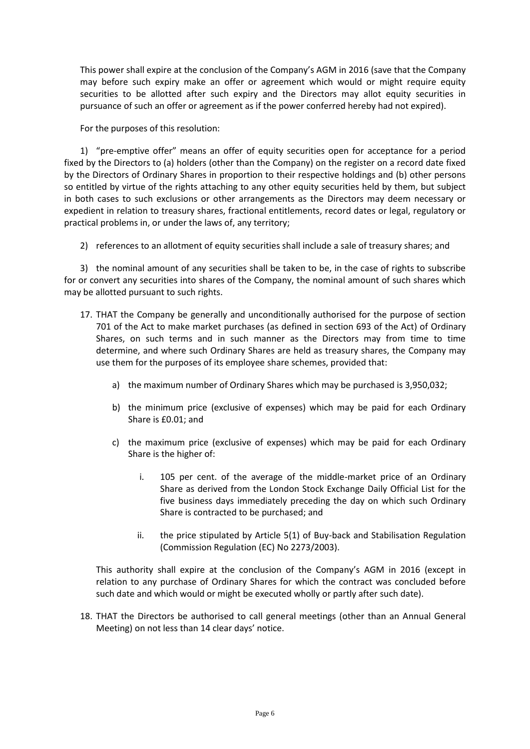This power shall expire at the conclusion of the Company's AGM in 2016 (save that the Company may before such expiry make an offer or agreement which would or might require equity securities to be allotted after such expiry and the Directors may allot equity securities in pursuance of such an offer or agreement as if the power conferred hereby had not expired).

For the purposes of this resolution:

1) "pre-emptive offer" means an offer of equity securities open for acceptance for a period fixed by the Directors to (a) holders (other than the Company) on the register on a record date fixed by the Directors of Ordinary Shares in proportion to their respective holdings and (b) other persons so entitled by virtue of the rights attaching to any other equity securities held by them, but subject in both cases to such exclusions or other arrangements as the Directors may deem necessary or expedient in relation to treasury shares, fractional entitlements, record dates or legal, regulatory or practical problems in, or under the laws of, any territory;

2) references to an allotment of equity securities shall include a sale of treasury shares; and

3) the nominal amount of any securities shall be taken to be, in the case of rights to subscribe for or convert any securities into shares of the Company, the nominal amount of such shares which may be allotted pursuant to such rights.

- 17. THAT the Company be generally and unconditionally authorised for the purpose of section 701 of the Act to make market purchases (as defined in section 693 of the Act) of Ordinary Shares, on such terms and in such manner as the Directors may from time to time determine, and where such Ordinary Shares are held as treasury shares, the Company may use them for the purposes of its employee share schemes, provided that:
	- a) the maximum number of Ordinary Shares which may be purchased is 3,950,032;
	- b) the minimum price (exclusive of expenses) which may be paid for each Ordinary Share is £0.01; and
	- c) the maximum price (exclusive of expenses) which may be paid for each Ordinary Share is the higher of:
		- i. 105 per cent. of the average of the middle-market price of an Ordinary Share as derived from the London Stock Exchange Daily Official List for the five business days immediately preceding the day on which such Ordinary Share is contracted to be purchased; and
		- ii. the price stipulated by Article 5(1) of Buy-back and Stabilisation Regulation (Commission Regulation (EC) No 2273/2003).

This authority shall expire at the conclusion of the Company's AGM in 2016 (except in relation to any purchase of Ordinary Shares for which the contract was concluded before such date and which would or might be executed wholly or partly after such date).

18. THAT the Directors be authorised to call general meetings (other than an Annual General Meeting) on not less than 14 clear days' notice.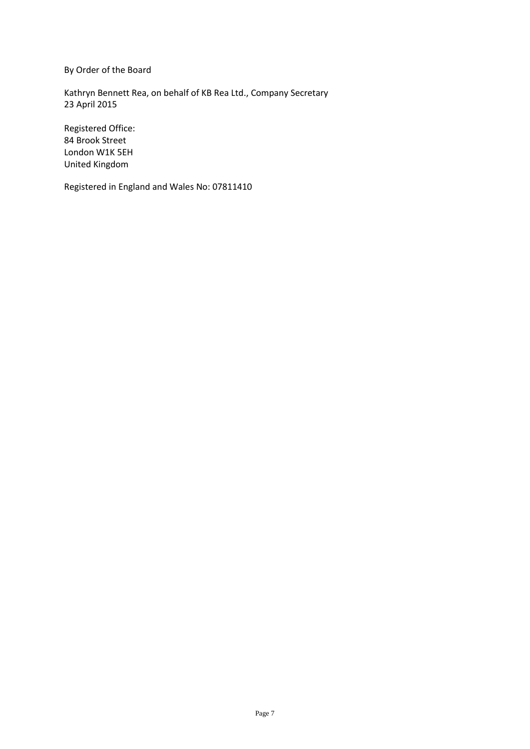By Order of the Board

Kathryn Bennett Rea, on behalf of KB Rea Ltd., Company Secretary 23 April 2015

Registered Office: 84 Brook Street London W1K 5EH United Kingdom

Registered in England and Wales No: 07811410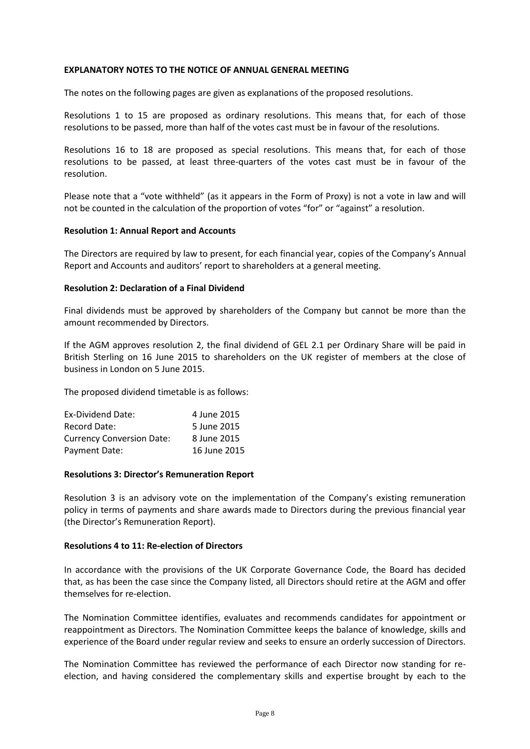#### **EXPLANATORY NOTES TO THE NOTICE OF ANNUAL GENERAL MEETING**

The notes on the following pages are given as explanations of the proposed resolutions.

Resolutions 1 to 15 are proposed as ordinary resolutions. This means that, for each of those resolutions to be passed, more than half of the votes cast must be in favour of the resolutions.

Resolutions 16 to 18 are proposed as special resolutions. This means that, for each of those resolutions to be passed, at least three-quarters of the votes cast must be in favour of the resolution.

Please note that a "vote withheld" (as it appears in the Form of Proxy) is not a vote in law and will not be counted in the calculation of the proportion of votes "for" or "against" a resolution.

#### **Resolution 1: Annual Report and Accounts**

The Directors are required by law to present, for each financial year, copies of the Company's Annual Report and Accounts and auditors' report to shareholders at a general meeting.

#### **Resolution 2: Declaration of a Final Dividend**

Final dividends must be approved by shareholders of the Company but cannot be more than the amount recommended by Directors.

If the AGM approves resolution 2, the final dividend of GEL 2.1 per Ordinary Share will be paid in British Sterling on 16 June 2015 to shareholders on the UK register of members at the close of business in London on 5 June 2015.

The proposed dividend timetable is as follows:

| Ex-Dividend Date:                | 4 June 2015  |
|----------------------------------|--------------|
| Record Date:                     | 5 June 2015  |
| <b>Currency Conversion Date:</b> | 8 June 2015  |
| Payment Date:                    | 16 June 2015 |

#### **Resolutions 3: Director's Remuneration Report**

Resolution 3 is an advisory vote on the implementation of the Company's existing remuneration policy in terms of payments and share awards made to Directors during the previous financial year (the Director's Remuneration Report).

#### **Resolutions 4 to 11: Re-election of Directors**

In accordance with the provisions of the UK Corporate Governance Code, the Board has decided that, as has been the case since the Company listed, all Directors should retire at the AGM and offer themselves for re-election.

The Nomination Committee identifies, evaluates and recommends candidates for appointment or reappointment as Directors. The Nomination Committee keeps the balance of knowledge, skills and experience of the Board under regular review and seeks to ensure an orderly succession of Directors.

The Nomination Committee has reviewed the performance of each Director now standing for reelection, and having considered the complementary skills and expertise brought by each to the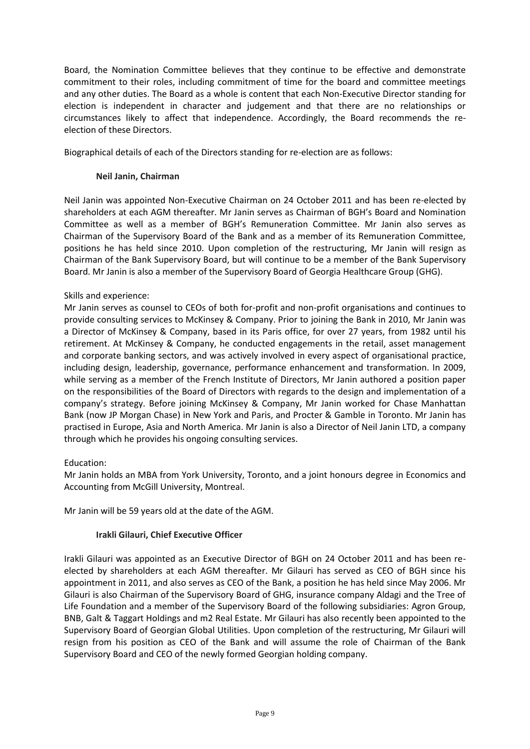Board, the Nomination Committee believes that they continue to be effective and demonstrate commitment to their roles, including commitment of time for the board and committee meetings and any other duties. The Board as a whole is content that each Non-Executive Director standing for election is independent in character and judgement and that there are no relationships or circumstances likely to affect that independence. Accordingly, the Board recommends the reelection of these Directors.

Biographical details of each of the Directors standing for re-election are as follows:

## **Neil Janin, Chairman**

Neil Janin was appointed Non-Executive Chairman on 24 October 2011 and has been re-elected by shareholders at each AGM thereafter. Mr Janin serves as Chairman of BGH's Board and Nomination Committee as well as a member of BGH's Remuneration Committee. Mr Janin also serves as Chairman of the Supervisory Board of the Bank and as a member of its Remuneration Committee, positions he has held since 2010. Upon completion of the restructuring, Mr Janin will resign as Chairman of the Bank Supervisory Board, but will continue to be a member of the Bank Supervisory Board. Mr Janin is also a member of the Supervisory Board of Georgia Healthcare Group (GHG).

## Skills and experience:

Mr Janin serves as counsel to CEOs of both for-profit and non-profit organisations and continues to provide consulting services to McKinsey & Company. Prior to joining the Bank in 2010, Mr Janin was a Director of McKinsey & Company, based in its Paris office, for over 27 years, from 1982 until his retirement. At McKinsey & Company, he conducted engagements in the retail, asset management and corporate banking sectors, and was actively involved in every aspect of organisational practice, including design, leadership, governance, performance enhancement and transformation. In 2009, while serving as a member of the French Institute of Directors, Mr Janin authored a position paper on the responsibilities of the Board of Directors with regards to the design and implementation of a company's strategy. Before joining McKinsey & Company, Mr Janin worked for Chase Manhattan Bank (now JP Morgan Chase) in New York and Paris, and Procter & Gamble in Toronto. Mr Janin has practised in Europe, Asia and North America. Mr Janin is also a Director of Neil Janin LTD, a company through which he provides his ongoing consulting services.

# Education:

Mr Janin holds an MBA from York University, Toronto, and a joint honours degree in Economics and Accounting from McGill University, Montreal.

Mr Janin will be 59 years old at the date of the AGM.

### **Irakli Gilauri, Chief Executive Officer**

Irakli Gilauri was appointed as an Executive Director of BGH on 24 October 2011 and has been reelected by shareholders at each AGM thereafter. Mr Gilauri has served as CEO of BGH since his appointment in 2011, and also serves as CEO of the Bank, a position he has held since May 2006. Mr Gilauri is also Chairman of the Supervisory Board of GHG, insurance company Aldagi and the Tree of Life Foundation and a member of the Supervisory Board of the following subsidiaries: Agron Group, BNB, Galt & Taggart Holdings and m2 Real Estate. Mr Gilauri has also recently been appointed to the Supervisory Board of Georgian Global Utilities. Upon completion of the restructuring, Mr Gilauri will resign from his position as CEO of the Bank and will assume the role of Chairman of the Bank Supervisory Board and CEO of the newly formed Georgian holding company.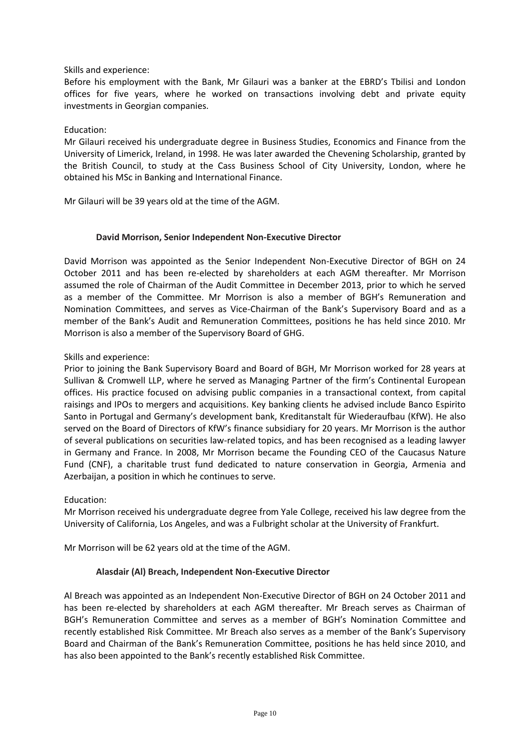### Skills and experience:

Before his employment with the Bank, Mr Gilauri was a banker at the EBRD's Tbilisi and London offices for five years, where he worked on transactions involving debt and private equity investments in Georgian companies.

## Education:

Mr Gilauri received his undergraduate degree in Business Studies, Economics and Finance from the University of Limerick, Ireland, in 1998. He was later awarded the Chevening Scholarship, granted by the British Council, to study at the Cass Business School of City University, London, where he obtained his MSc in Banking and International Finance.

Mr Gilauri will be 39 years old at the time of the AGM.

## **David Morrison, Senior Independent Non-Executive Director**

David Morrison was appointed as the Senior Independent Non-Executive Director of BGH on 24 October 2011 and has been re-elected by shareholders at each AGM thereafter. Mr Morrison assumed the role of Chairman of the Audit Committee in December 2013, prior to which he served as a member of the Committee. Mr Morrison is also a member of BGH's Remuneration and Nomination Committees, and serves as Vice-Chairman of the Bank's Supervisory Board and as a member of the Bank's Audit and Remuneration Committees, positions he has held since 2010. Mr Morrison is also a member of the Supervisory Board of GHG.

## Skills and experience:

Prior to joining the Bank Supervisory Board and Board of BGH, Mr Morrison worked for 28 years at Sullivan & Cromwell LLP, where he served as Managing Partner of the firm's Continental European offices. His practice focused on advising public companies in a transactional context, from capital raisings and IPOs to mergers and acquisitions. Key banking clients he advised include Banco Espirito Santo in Portugal and Germany's development bank, Kreditanstalt für Wiederaufbau (KfW). He also served on the Board of Directors of KfW's finance subsidiary for 20 years. Mr Morrison is the author of several publications on securities law-related topics, and has been recognised as a leading lawyer in Germany and France. In 2008, Mr Morrison became the Founding CEO of the Caucasus Nature Fund (CNF), a charitable trust fund dedicated to nature conservation in Georgia, Armenia and Azerbaijan, a position in which he continues to serve.

### Education:

Mr Morrison received his undergraduate degree from Yale College, received his law degree from the University of California, Los Angeles, and was a Fulbright scholar at the University of Frankfurt.

Mr Morrison will be 62 years old at the time of the AGM.

# **Alasdair (Al) Breach, Independent Non-Executive Director**

Al Breach was appointed as an Independent Non-Executive Director of BGH on 24 October 2011 and has been re-elected by shareholders at each AGM thereafter. Mr Breach serves as Chairman of BGH's Remuneration Committee and serves as a member of BGH's Nomination Committee and recently established Risk Committee. Mr Breach also serves as a member of the Bank's Supervisory Board and Chairman of the Bank's Remuneration Committee, positions he has held since 2010, and has also been appointed to the Bank's recently established Risk Committee.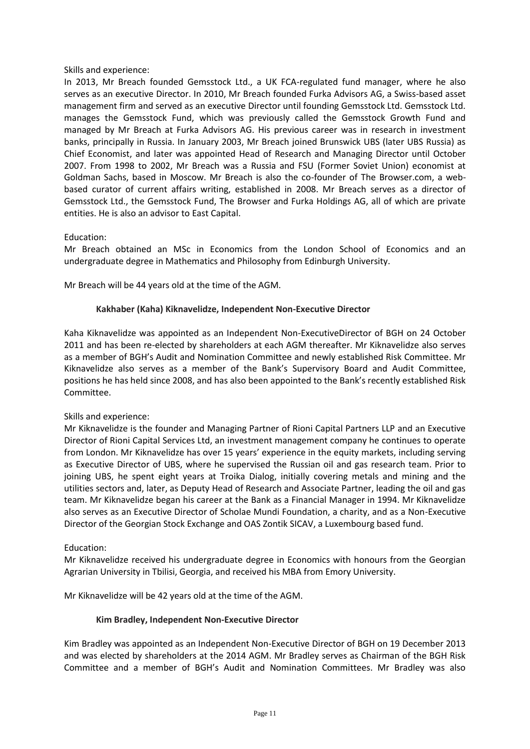### Skills and experience:

In 2013, Mr Breach founded Gemsstock Ltd., a UK FCA-regulated fund manager, where he also serves as an executive Director. In 2010, Mr Breach founded Furka Advisors AG, a Swiss-based asset management firm and served as an executive Director until founding Gemsstock Ltd. Gemsstock Ltd. manages the Gemsstock Fund, which was previously called the Gemsstock Growth Fund and managed by Mr Breach at Furka Advisors AG. His previous career was in research in investment banks, principally in Russia. In January 2003, Mr Breach joined Brunswick UBS (later UBS Russia) as Chief Economist, and later was appointed Head of Research and Managing Director until October 2007. From 1998 to 2002, Mr Breach was a Russia and FSU (Former Soviet Union) economist at Goldman Sachs, based in Moscow. Mr Breach is also the co-founder of The Browser.com, a webbased curator of current affairs writing, established in 2008. Mr Breach serves as a director of Gemsstock Ltd., the Gemsstock Fund, The Browser and Furka Holdings AG, all of which are private entities. He is also an advisor to East Capital.

### Education:

Mr Breach obtained an MSc in Economics from the London School of Economics and an undergraduate degree in Mathematics and Philosophy from Edinburgh University.

Mr Breach will be 44 years old at the time of the AGM.

## **Kakhaber (Kaha) Kiknavelidze, Independent Non-Executive Director**

Kaha Kiknavelidze was appointed as an Independent Non-ExecutiveDirector of BGH on 24 October 2011 and has been re-elected by shareholders at each AGM thereafter. Mr Kiknavelidze also serves as a member of BGH's Audit and Nomination Committee and newly established Risk Committee. Mr Kiknavelidze also serves as a member of the Bank's Supervisory Board and Audit Committee, positions he has held since 2008, and has also been appointed to the Bank's recently established Risk Committee.

### Skills and experience:

Mr Kiknavelidze is the founder and Managing Partner of Rioni Capital Partners LLP and an Executive Director of Rioni Capital Services Ltd, an investment management company he continues to operate from London. Mr Kiknavelidze has over 15 years' experience in the equity markets, including serving as Executive Director of UBS, where he supervised the Russian oil and gas research team. Prior to joining UBS, he spent eight years at Troika Dialog, initially covering metals and mining and the utilities sectors and, later, as Deputy Head of Research and Associate Partner, leading the oil and gas team. Mr Kiknavelidze began his career at the Bank as a Financial Manager in 1994. Mr Kiknavelidze also serves as an Executive Director of Scholae Mundi Foundation, a charity, and as a Non-Executive Director of the Georgian Stock Exchange and OAS Zontik SICAV, a Luxembourg based fund.

### Education:

Mr Kiknavelidze received his undergraduate degree in Economics with honours from the Georgian Agrarian University in Tbilisi, Georgia, and received his MBA from Emory University.

Mr Kiknavelidze will be 42 years old at the time of the AGM.

### **Kim Bradley, Independent Non-Executive Director**

Kim Bradley was appointed as an Independent Non-Executive Director of BGH on 19 December 2013 and was elected by shareholders at the 2014 AGM. Mr Bradley serves as Chairman of the BGH Risk Committee and a member of BGH's Audit and Nomination Committees. Mr Bradley was also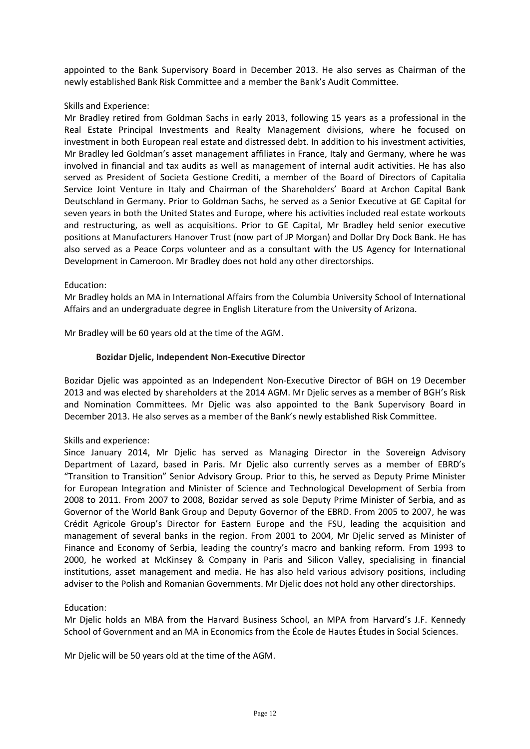appointed to the Bank Supervisory Board in December 2013. He also serves as Chairman of the newly established Bank Risk Committee and a member the Bank's Audit Committee.

### Skills and Experience:

Mr Bradley retired from Goldman Sachs in early 2013, following 15 years as a professional in the Real Estate Principal Investments and Realty Management divisions, where he focused on investment in both European real estate and distressed debt. In addition to his investment activities, Mr Bradley led Goldman's asset management affiliates in France, Italy and Germany, where he was involved in financial and tax audits as well as management of internal audit activities. He has also served as President of Societa Gestione Crediti, a member of the Board of Directors of Capitalia Service Joint Venture in Italy and Chairman of the Shareholders' Board at Archon Capital Bank Deutschland in Germany. Prior to Goldman Sachs, he served as a Senior Executive at GE Capital for seven years in both the United States and Europe, where his activities included real estate workouts and restructuring, as well as acquisitions. Prior to GE Capital, Mr Bradley held senior executive positions at Manufacturers Hanover Trust (now part of JP Morgan) and Dollar Dry Dock Bank. He has also served as a Peace Corps volunteer and as a consultant with the US Agency for International Development in Cameroon. Mr Bradley does not hold any other directorships.

### Education:

Mr Bradley holds an MA in International Affairs from the Columbia University School of International Affairs and an undergraduate degree in English Literature from the University of Arizona.

Mr Bradley will be 60 years old at the time of the AGM.

### **Bozidar Djelic, Independent Non-Executive Director**

Bozidar Djelic was appointed as an Independent Non-Executive Director of BGH on 19 December 2013 and was elected by shareholders at the 2014 AGM. Mr Djelic serves as a member of BGH's Risk and Nomination Committees. Mr Djelic was also appointed to the Bank Supervisory Board in December 2013. He also serves as a member of the Bank's newly established Risk Committee.

### Skills and experience:

Since January 2014, Mr Djelic has served as Managing Director in the Sovereign Advisory Department of Lazard, based in Paris. Mr Djelic also currently serves as a member of EBRD's "Transition to Transition" Senior Advisory Group. Prior to this, he served as Deputy Prime Minister for European Integration and Minister of Science and Technological Development of Serbia from 2008 to 2011. From 2007 to 2008, Bozidar served as sole Deputy Prime Minister of Serbia, and as Governor of the World Bank Group and Deputy Governor of the EBRD. From 2005 to 2007, he was Crédit Agricole Group's Director for Eastern Europe and the FSU, leading the acquisition and management of several banks in the region. From 2001 to 2004, Mr Djelic served as Minister of Finance and Economy of Serbia, leading the country's macro and banking reform. From 1993 to 2000, he worked at McKinsey & Company in Paris and Silicon Valley, specialising in financial institutions, asset management and media. He has also held various advisory positions, including adviser to the Polish and Romanian Governments. Mr Djelic does not hold any other directorships.

### Education:

Mr Djelic holds an MBA from the Harvard Business School, an MPA from Harvard's J.F. Kennedy School of Government and an MA in Economics from the École de Hautes Études in Social Sciences.

Mr Djelic will be 50 years old at the time of the AGM.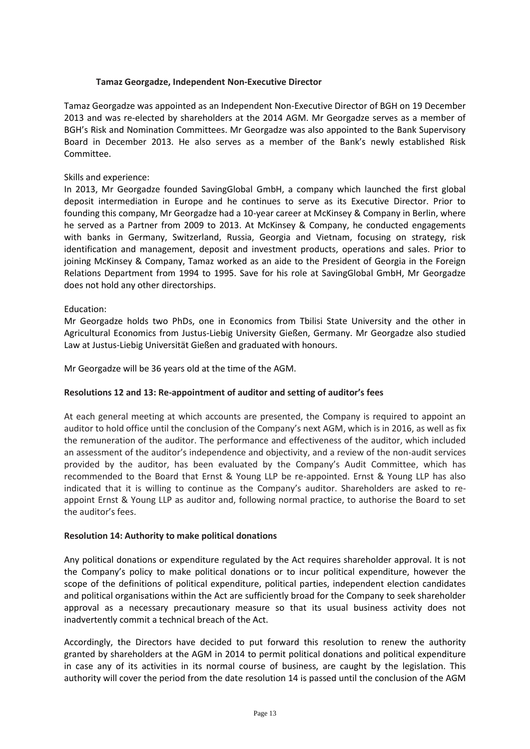### **Tamaz Georgadze, Independent Non-Executive Director**

Tamaz Georgadze was appointed as an Independent Non-Executive Director of BGH on 19 December 2013 and was re-elected by shareholders at the 2014 AGM. Mr Georgadze serves as a member of BGH's Risk and Nomination Committees. Mr Georgadze was also appointed to the Bank Supervisory Board in December 2013. He also serves as a member of the Bank's newly established Risk Committee.

### Skills and experience:

In 2013, Mr Georgadze founded SavingGlobal GmbH, a company which launched the first global deposit intermediation in Europe and he continues to serve as its Executive Director. Prior to founding this company, Mr Georgadze had a 10-year career at McKinsey & Company in Berlin, where he served as a Partner from 2009 to 2013. At McKinsey & Company, he conducted engagements with banks in Germany, Switzerland, Russia, Georgia and Vietnam, focusing on strategy, risk identification and management, deposit and investment products, operations and sales. Prior to joining McKinsey & Company, Tamaz worked as an aide to the President of Georgia in the Foreign Relations Department from 1994 to 1995. Save for his role at SavingGlobal GmbH, Mr Georgadze does not hold any other directorships.

## Education:

Mr Georgadze holds two PhDs, one in Economics from Tbilisi State University and the other in Agricultural Economics from Justus-Liebig University Gießen, Germany. Mr Georgadze also studied Law at Justus-Liebig Universität Gießen and graduated with honours.

Mr Georgadze will be 36 years old at the time of the AGM.

# **Resolutions 12 and 13: Re-appointment of auditor and setting of auditor's fees**

At each general meeting at which accounts are presented, the Company is required to appoint an auditor to hold office until the conclusion of the Company's next AGM, which is in 2016, as well as fix the remuneration of the auditor. The performance and effectiveness of the auditor, which included an assessment of the auditor's independence and objectivity, and a review of the non-audit services provided by the auditor, has been evaluated by the Company's Audit Committee, which has recommended to the Board that Ernst & Young LLP be re-appointed. Ernst & Young LLP has also indicated that it is willing to continue as the Company's auditor. Shareholders are asked to reappoint Ernst & Young LLP as auditor and, following normal practice, to authorise the Board to set the auditor's fees.

### **Resolution 14: Authority to make political donations**

Any political donations or expenditure regulated by the Act requires shareholder approval. It is not the Company's policy to make political donations or to incur political expenditure, however the scope of the definitions of political expenditure, political parties, independent election candidates and political organisations within the Act are sufficiently broad for the Company to seek shareholder approval as a necessary precautionary measure so that its usual business activity does not inadvertently commit a technical breach of the Act.

Accordingly, the Directors have decided to put forward this resolution to renew the authority granted by shareholders at the AGM in 2014 to permit political donations and political expenditure in case any of its activities in its normal course of business, are caught by the legislation. This authority will cover the period from the date resolution 14 is passed until the conclusion of the AGM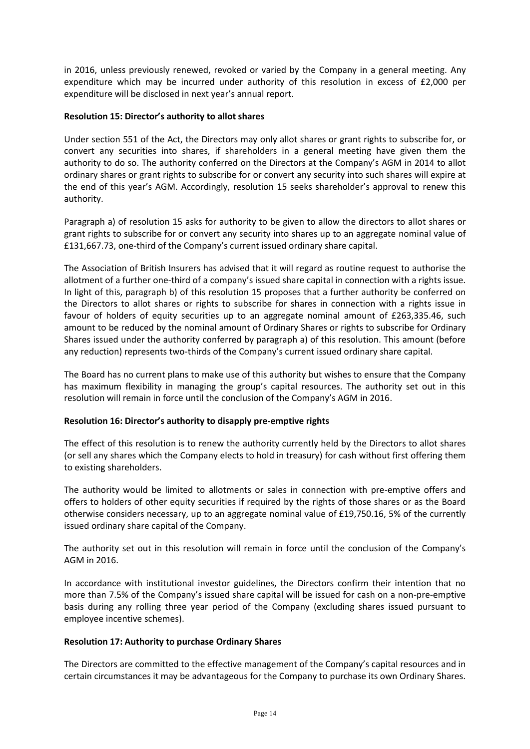in 2016, unless previously renewed, revoked or varied by the Company in a general meeting. Any expenditure which may be incurred under authority of this resolution in excess of £2,000 per expenditure will be disclosed in next year's annual report.

### **Resolution 15: Director's authority to allot shares**

Under section 551 of the Act, the Directors may only allot shares or grant rights to subscribe for, or convert any securities into shares, if shareholders in a general meeting have given them the authority to do so. The authority conferred on the Directors at the Company's AGM in 2014 to allot ordinary shares or grant rights to subscribe for or convert any security into such shares will expire at the end of this year's AGM. Accordingly, resolution 15 seeks shareholder's approval to renew this authority.

Paragraph a) of resolution 15 asks for authority to be given to allow the directors to allot shares or grant rights to subscribe for or convert any security into shares up to an aggregate nominal value of £131,667.73, one-third of the Company's current issued ordinary share capital.

The Association of British Insurers has advised that it will regard as routine request to authorise the allotment of a further one-third of a company's issued share capital in connection with a rights issue. In light of this, paragraph b) of this resolution 15 proposes that a further authority be conferred on the Directors to allot shares or rights to subscribe for shares in connection with a rights issue in favour of holders of equity securities up to an aggregate nominal amount of £263,335.46, such amount to be reduced by the nominal amount of Ordinary Shares or rights to subscribe for Ordinary Shares issued under the authority conferred by paragraph a) of this resolution. This amount (before any reduction) represents two-thirds of the Company's current issued ordinary share capital.

The Board has no current plans to make use of this authority but wishes to ensure that the Company has maximum flexibility in managing the group's capital resources. The authority set out in this resolution will remain in force until the conclusion of the Company's AGM in 2016.

# **Resolution 16: Director's authority to disapply pre-emptive rights**

The effect of this resolution is to renew the authority currently held by the Directors to allot shares (or sell any shares which the Company elects to hold in treasury) for cash without first offering them to existing shareholders.

The authority would be limited to allotments or sales in connection with pre-emptive offers and offers to holders of other equity securities if required by the rights of those shares or as the Board otherwise considers necessary, up to an aggregate nominal value of £19,750.16, 5% of the currently issued ordinary share capital of the Company.

The authority set out in this resolution will remain in force until the conclusion of the Company's AGM in 2016.

In accordance with institutional investor guidelines, the Directors confirm their intention that no more than 7.5% of the Company's issued share capital will be issued for cash on a non-pre-emptive basis during any rolling three year period of the Company (excluding shares issued pursuant to employee incentive schemes).

### **Resolution 17: Authority to purchase Ordinary Shares**

The Directors are committed to the effective management of the Company's capital resources and in certain circumstances it may be advantageous for the Company to purchase its own Ordinary Shares.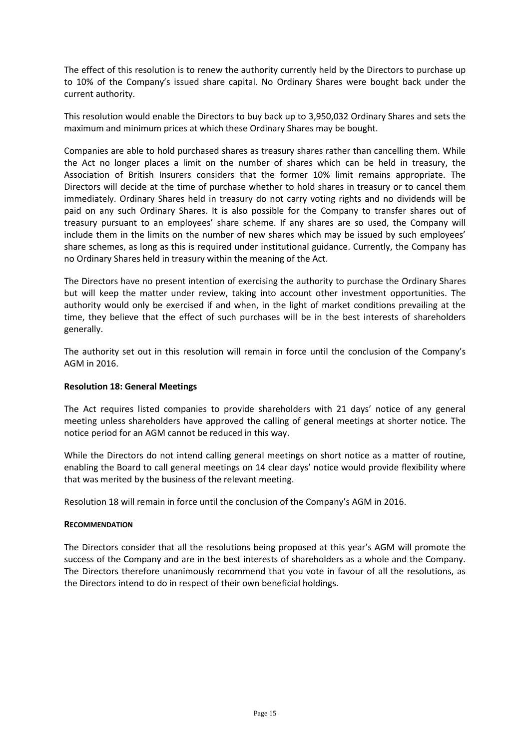The effect of this resolution is to renew the authority currently held by the Directors to purchase up to 10% of the Company's issued share capital. No Ordinary Shares were bought back under the current authority.

This resolution would enable the Directors to buy back up to 3,950,032 Ordinary Shares and sets the maximum and minimum prices at which these Ordinary Shares may be bought.

Companies are able to hold purchased shares as treasury shares rather than cancelling them. While the Act no longer places a limit on the number of shares which can be held in treasury, the Association of British Insurers considers that the former 10% limit remains appropriate. The Directors will decide at the time of purchase whether to hold shares in treasury or to cancel them immediately. Ordinary Shares held in treasury do not carry voting rights and no dividends will be paid on any such Ordinary Shares. It is also possible for the Company to transfer shares out of treasury pursuant to an employees' share scheme. If any shares are so used, the Company will include them in the limits on the number of new shares which may be issued by such employees' share schemes, as long as this is required under institutional guidance. Currently, the Company has no Ordinary Shares held in treasury within the meaning of the Act.

The Directors have no present intention of exercising the authority to purchase the Ordinary Shares but will keep the matter under review, taking into account other investment opportunities. The authority would only be exercised if and when, in the light of market conditions prevailing at the time, they believe that the effect of such purchases will be in the best interests of shareholders generally.

The authority set out in this resolution will remain in force until the conclusion of the Company's AGM in 2016.

### **Resolution 18: General Meetings**

The Act requires listed companies to provide shareholders with 21 days' notice of any general meeting unless shareholders have approved the calling of general meetings at shorter notice. The notice period for an AGM cannot be reduced in this way.

While the Directors do not intend calling general meetings on short notice as a matter of routine, enabling the Board to call general meetings on 14 clear days' notice would provide flexibility where that was merited by the business of the relevant meeting.

Resolution 18 will remain in force until the conclusion of the Company's AGM in 2016.

### **RECOMMENDATION**

The Directors consider that all the resolutions being proposed at this year's AGM will promote the success of the Company and are in the best interests of shareholders as a whole and the Company. The Directors therefore unanimously recommend that you vote in favour of all the resolutions, as the Directors intend to do in respect of their own beneficial holdings.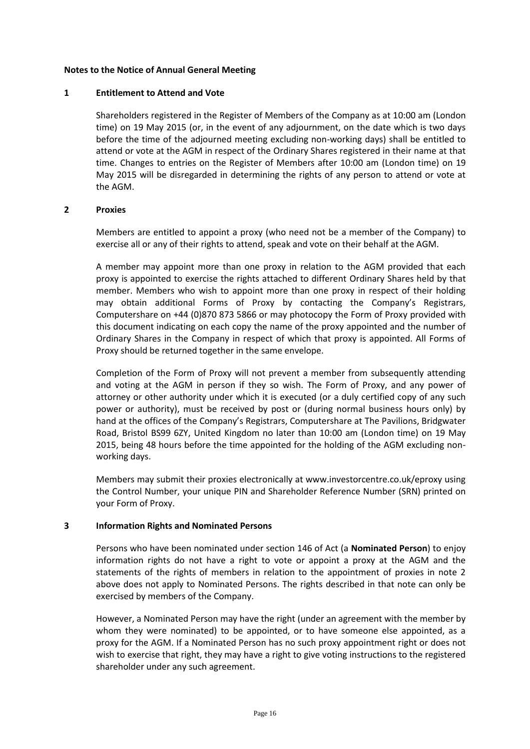#### **Notes to the Notice of Annual General Meeting**

#### **1 Entitlement to Attend and Vote**

Shareholders registered in the Register of Members of the Company as at 10:00 am (London time) on 19 May 2015 (or, in the event of any adjournment, on the date which is two days before the time of the adjourned meeting excluding non-working days) shall be entitled to attend or vote at the AGM in respect of the Ordinary Shares registered in their name at that time. Changes to entries on the Register of Members after 10:00 am (London time) on 19 May 2015 will be disregarded in determining the rights of any person to attend or vote at the AGM.

#### **2 Proxies**

Members are entitled to appoint a proxy (who need not be a member of the Company) to exercise all or any of their rights to attend, speak and vote on their behalf at the AGM.

A member may appoint more than one proxy in relation to the AGM provided that each proxy is appointed to exercise the rights attached to different Ordinary Shares held by that member. Members who wish to appoint more than one proxy in respect of their holding may obtain additional Forms of Proxy by contacting the Company's Registrars, Computershare on +44 (0)870 873 5866 or may photocopy the Form of Proxy provided with this document indicating on each copy the name of the proxy appointed and the number of Ordinary Shares in the Company in respect of which that proxy is appointed. All Forms of Proxy should be returned together in the same envelope.

Completion of the Form of Proxy will not prevent a member from subsequently attending and voting at the AGM in person if they so wish. The Form of Proxy, and any power of attorney or other authority under which it is executed (or a duly certified copy of any such power or authority), must be received by post or (during normal business hours only) by hand at the offices of the Company's Registrars, Computershare at The Pavilions, Bridgwater Road, Bristol BS99 6ZY, United Kingdom no later than 10:00 am (London time) on 19 May 2015, being 48 hours before the time appointed for the holding of the AGM excluding nonworking days.

Members may submit their proxies electronically at www.investorcentre.co.uk/eproxy using the Control Number, your unique PIN and Shareholder Reference Number (SRN) printed on your Form of Proxy.

### **3 Information Rights and Nominated Persons**

Persons who have been nominated under section 146 of Act (a **Nominated Person**) to enjoy information rights do not have a right to vote or appoint a proxy at the AGM and the statements of the rights of members in relation to the appointment of proxies in note 2 above does not apply to Nominated Persons. The rights described in that note can only be exercised by members of the Company.

However, a Nominated Person may have the right (under an agreement with the member by whom they were nominated) to be appointed, or to have someone else appointed, as a proxy for the AGM. If a Nominated Person has no such proxy appointment right or does not wish to exercise that right, they may have a right to give voting instructions to the registered shareholder under any such agreement.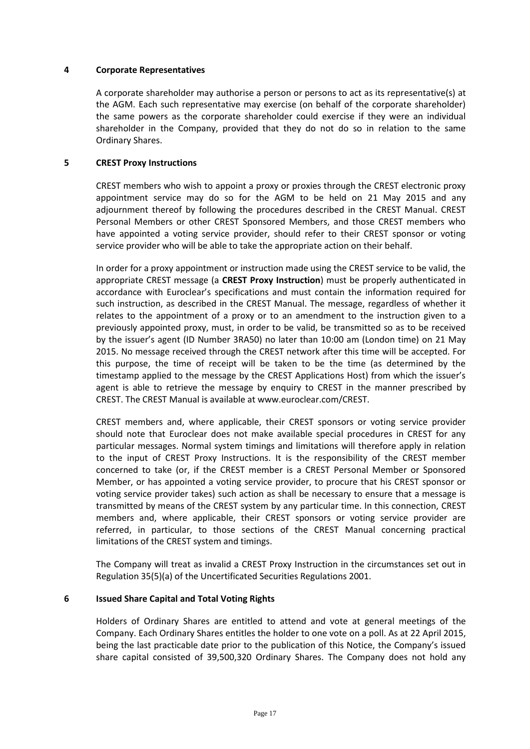### **4 Corporate Representatives**

A corporate shareholder may authorise a person or persons to act as its representative(s) at the AGM. Each such representative may exercise (on behalf of the corporate shareholder) the same powers as the corporate shareholder could exercise if they were an individual shareholder in the Company, provided that they do not do so in relation to the same Ordinary Shares.

## **5 CREST Proxy Instructions**

CREST members who wish to appoint a proxy or proxies through the CREST electronic proxy appointment service may do so for the AGM to be held on 21 May 2015 and any adjournment thereof by following the procedures described in the CREST Manual. CREST Personal Members or other CREST Sponsored Members, and those CREST members who have appointed a voting service provider, should refer to their CREST sponsor or voting service provider who will be able to take the appropriate action on their behalf.

In order for a proxy appointment or instruction made using the CREST service to be valid, the appropriate CREST message (a **CREST Proxy Instruction**) must be properly authenticated in accordance with Euroclear's specifications and must contain the information required for such instruction, as described in the CREST Manual. The message, regardless of whether it relates to the appointment of a proxy or to an amendment to the instruction given to a previously appointed proxy, must, in order to be valid, be transmitted so as to be received by the issuer's agent (ID Number 3RA50) no later than 10:00 am (London time) on 21 May 2015. No message received through the CREST network after this time will be accepted. For this purpose, the time of receipt will be taken to be the time (as determined by the timestamp applied to the message by the CREST Applications Host) from which the issuer's agent is able to retrieve the message by enquiry to CREST in the manner prescribed by CREST. The CREST Manual is available at www.euroclear.com/CREST.

CREST members and, where applicable, their CREST sponsors or voting service provider should note that Euroclear does not make available special procedures in CREST for any particular messages. Normal system timings and limitations will therefore apply in relation to the input of CREST Proxy Instructions. It is the responsibility of the CREST member concerned to take (or, if the CREST member is a CREST Personal Member or Sponsored Member, or has appointed a voting service provider, to procure that his CREST sponsor or voting service provider takes) such action as shall be necessary to ensure that a message is transmitted by means of the CREST system by any particular time. In this connection, CREST members and, where applicable, their CREST sponsors or voting service provider are referred, in particular, to those sections of the CREST Manual concerning practical limitations of the CREST system and timings.

The Company will treat as invalid a CREST Proxy Instruction in the circumstances set out in Regulation 35(5)(a) of the Uncertificated Securities Regulations 2001.

# **6 Issued Share Capital and Total Voting Rights**

Holders of Ordinary Shares are entitled to attend and vote at general meetings of the Company. Each Ordinary Shares entitles the holder to one vote on a poll. As at 22 April 2015, being the last practicable date prior to the publication of this Notice, the Company's issued share capital consisted of 39,500,320 Ordinary Shares. The Company does not hold any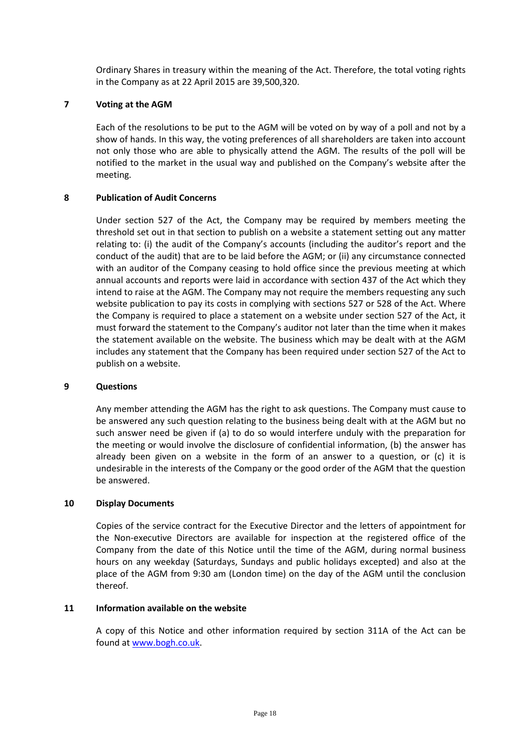Ordinary Shares in treasury within the meaning of the Act. Therefore, the total voting rights in the Company as at 22 April 2015 are 39,500,320.

### **7 Voting at the AGM**

Each of the resolutions to be put to the AGM will be voted on by way of a poll and not by a show of hands. In this way, the voting preferences of all shareholders are taken into account not only those who are able to physically attend the AGM. The results of the poll will be notified to the market in the usual way and published on the Company's website after the meeting.

## **8 Publication of Audit Concerns**

Under section 527 of the Act, the Company may be required by members meeting the threshold set out in that section to publish on a website a statement setting out any matter relating to: (i) the audit of the Company's accounts (including the auditor's report and the conduct of the audit) that are to be laid before the AGM; or (ii) any circumstance connected with an auditor of the Company ceasing to hold office since the previous meeting at which annual accounts and reports were laid in accordance with section 437 of the Act which they intend to raise at the AGM. The Company may not require the members requesting any such website publication to pay its costs in complying with sections 527 or 528 of the Act. Where the Company is required to place a statement on a website under section 527 of the Act, it must forward the statement to the Company's auditor not later than the time when it makes the statement available on the website. The business which may be dealt with at the AGM includes any statement that the Company has been required under section 527 of the Act to publish on a website.

### **9 Questions**

Any member attending the AGM has the right to ask questions. The Company must cause to be answered any such question relating to the business being dealt with at the AGM but no such answer need be given if (a) to do so would interfere unduly with the preparation for the meeting or would involve the disclosure of confidential information, (b) the answer has already been given on a website in the form of an answer to a question, or (c) it is undesirable in the interests of the Company or the good order of the AGM that the question be answered.

### **10 Display Documents**

Copies of the service contract for the Executive Director and the letters of appointment for the Non-executive Directors are available for inspection at the registered office of the Company from the date of this Notice until the time of the AGM, during normal business hours on any weekday (Saturdays, Sundays and public holidays excepted) and also at the place of the AGM from 9:30 am (London time) on the day of the AGM until the conclusion thereof.

### **11 Information available on the website**

A copy of this Notice and other information required by section 311A of the Act can be found a[t www.bogh.co.uk.](http://www.bogh.co.uk/)